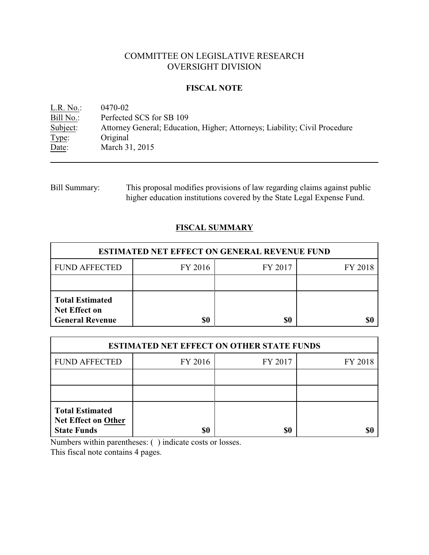# COMMITTEE ON LEGISLATIVE RESEARCH OVERSIGHT DIVISION

## **FISCAL NOTE**

L.R. No.: 0470-02<br>Bill No.: Perfected Bill No.: Perfected SCS for SB 109<br>Subject: Attorney General; Education Attorney General; Education, Higher; Attorneys; Liability; Civil Procedure Type: Original Date: March 31, 2015

Bill Summary: This proposal modifies provisions of law regarding claims against public higher education institutions covered by the State Legal Expense Fund.

# **FISCAL SUMMARY**

| <b>ESTIMATED NET EFFECT ON GENERAL REVENUE FUND</b>                      |         |         |         |  |
|--------------------------------------------------------------------------|---------|---------|---------|--|
| <b>FUND AFFECTED</b>                                                     | FY 2016 | FY 2017 | FY 2018 |  |
|                                                                          |         |         |         |  |
| <b>Total Estimated</b><br><b>Net Effect on</b><br><b>General Revenue</b> | \$0     | \$0     |         |  |

| <b>ESTIMATED NET EFFECT ON OTHER STATE FUNDS</b>                           |         |         |         |  |
|----------------------------------------------------------------------------|---------|---------|---------|--|
| <b>FUND AFFECTED</b>                                                       | FY 2016 | FY 2017 | FY 2018 |  |
|                                                                            |         |         |         |  |
|                                                                            |         |         |         |  |
| <b>Total Estimated</b><br><b>Net Effect on Other</b><br><b>State Funds</b> | \$0     | \$0     |         |  |

Numbers within parentheses: ( ) indicate costs or losses.

This fiscal note contains 4 pages.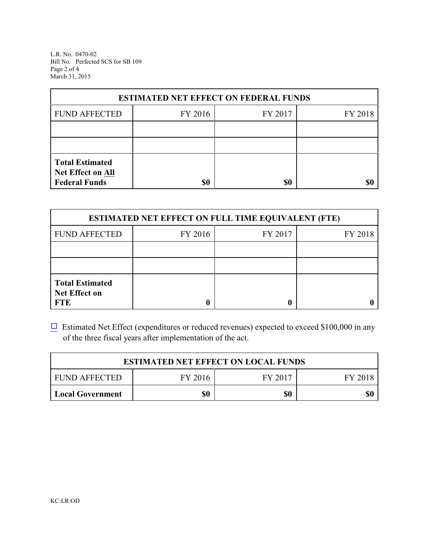L.R. No. 0470-02 Bill No. Perfected SCS for SB 109 Page 2 of 4 March 31, 2015

| <b>ESTIMATED NET EFFECT ON FEDERAL FUNDS</b>                        |         |         |         |  |
|---------------------------------------------------------------------|---------|---------|---------|--|
| <b>FUND AFFECTED</b>                                                | FY 2016 | FY 2017 | FY 2018 |  |
|                                                                     |         |         |         |  |
|                                                                     |         |         |         |  |
| <b>Total Estimated</b><br>Net Effect on All<br><b>Federal Funds</b> | \$0     | \$0     |         |  |

| <b>ESTIMATED NET EFFECT ON FULL TIME EQUIVALENT (FTE)</b>    |         |         |         |  |
|--------------------------------------------------------------|---------|---------|---------|--|
| <b>FUND AFFECTED</b>                                         | FY 2016 | FY 2017 | FY 2018 |  |
|                                                              |         |         |         |  |
|                                                              |         |         |         |  |
| <b>Total Estimated</b><br><b>Net Effect on</b><br><b>FTE</b> |         |         |         |  |

 $\Box$  Estimated Net Effect (expenditures or reduced revenues) expected to exceed \$100,000 in any of the three fiscal years after implementation of the act.

| <b>ESTIMATED NET EFFECT ON LOCAL FUNDS</b> |         |         |         |  |
|--------------------------------------------|---------|---------|---------|--|
| <b>FUND AFFECTED</b>                       | FY 2016 | FY 2017 | FY 2018 |  |
| <b>Local Government</b>                    | \$0     | \$0     | \$0     |  |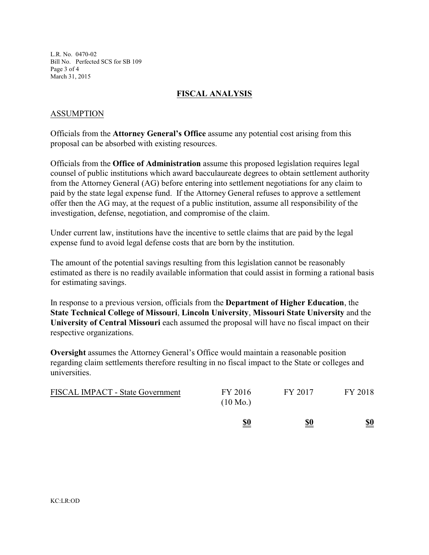L.R. No. 0470-02 Bill No. Perfected SCS for SB 109 Page 3 of 4 March 31, 2015

## **FISCAL ANALYSIS**

### ASSUMPTION

Officials from the **Attorney General's Office** assume any potential cost arising from this proposal can be absorbed with existing resources.

Officials from the **Office of Administration** assume this proposed legislation requires legal counsel of public institutions which award bacculaureate degrees to obtain settlement authority from the Attorney General (AG) before entering into settlement negotiations for any claim to paid by the state legal expense fund. If the Attorney General refuses to approve a settlement offer then the AG may, at the request of a public institution, assume all responsibility of the investigation, defense, negotiation, and compromise of the claim.

Under current law, institutions have the incentive to settle claims that are paid by the legal expense fund to avoid legal defense costs that are born by the institution.

The amount of the potential savings resulting from this legislation cannot be reasonably estimated as there is no readily available information that could assist in forming a rational basis for estimating savings.

In response to a previous version, officials from the **Department of Higher Education**, the **State Technical College of Missouri**, **Lincoln University**, **Missouri State University** and the **University of Central Missouri** each assumed the proposal will have no fiscal impact on their respective organizations.

**Oversight** assumes the Attorney General's Office would maintain a reasonable position regarding claim settlements therefore resulting in no fiscal impact to the State or colleges and universities.

|                                         | <u>\$0</u>                    | <u>\$0</u> | <u>\$0</u> |
|-----------------------------------------|-------------------------------|------------|------------|
| <b>FISCAL IMPACT - State Government</b> | FY 2016<br>$(10 \text{ Mo.})$ | FY 2017    | FY 2018    |